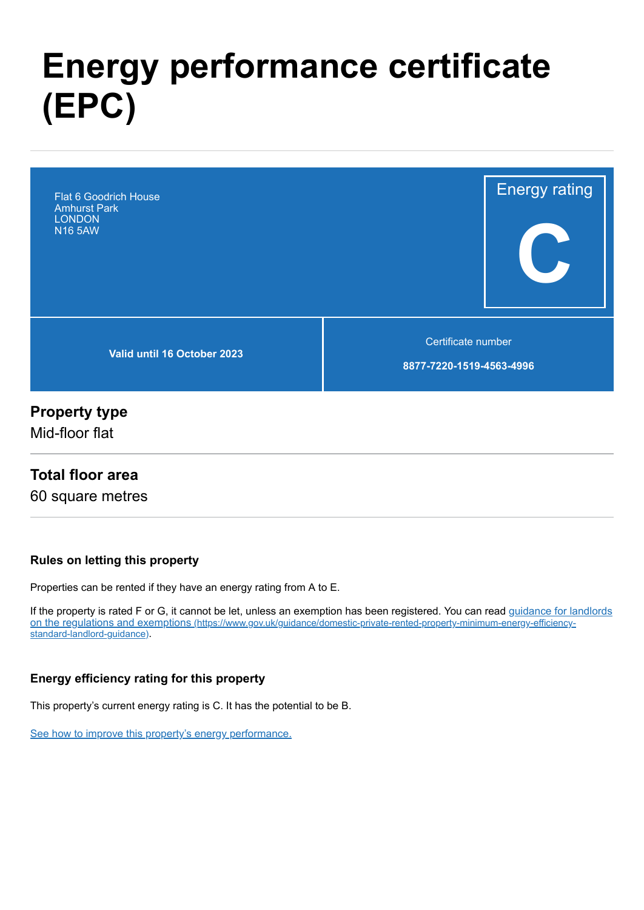# **Energy performance certificate (EPC)**



# **Property type**

Mid-floor flat

### **Total floor area**

60 square metres

#### **Rules on letting this property**

Properties can be rented if they have an energy rating from A to E.

[If the property is rated F or G, it cannot be let, unless an exemption has been registered. You can read guidance for landlords](https://www.gov.uk/guidance/domestic-private-rented-property-minimum-energy-efficiency-standard-landlord-guidance) on the regulations and exemptions (https://www.gov.uk/guidance/domestic-private-rented-property-minimum-energy-efficiencystandard-landlord-guidance).

#### **Energy efficiency rating for this property**

This property's current energy rating is C. It has the potential to be B.

[See how to improve this property's energy performance.](#page-3-0)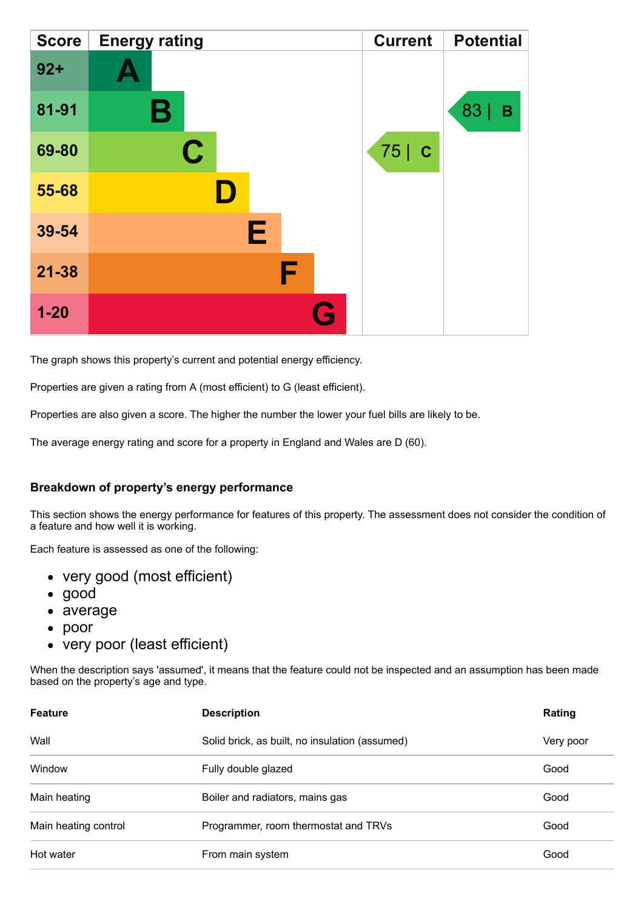| <b>Score</b> | <b>Energy rating</b> | <b>Current</b> | <b>Potential</b> |
|--------------|----------------------|----------------|------------------|
| $92 +$       | A                    |                |                  |
| 81-91        | Β                    |                | 83<br>В          |
| 69-80        | $\mathbf C$          | 75 C           |                  |
| 55-68        |                      |                |                  |
| 39-54        | Е                    |                |                  |
| $21 - 38$    | F                    |                |                  |
| $1 - 20$     | $\mathbf{G}$         |                |                  |

The graph shows this property's current and potential energy efficiency.

Properties are given a rating from A (most efficient) to G (least efficient).

Properties are also given a score. The higher the number the lower your fuel bills are likely to be.

The average energy rating and score for a property in England and Wales are D (60).

#### **Breakdown of property's energy performance**

This section shows the energy performance for features of this property. The assessment does not consider the condition of a feature and how well it is working.

Each feature is assessed as one of the following:

- very good (most efficient)
- good
- average
- poor
- very poor (least efficient)

When the description says 'assumed', it means that the feature could not be inspected and an assumption has been made based on the property's age and type.

| <b>Feature</b>       | <b>Description</b>                             | Rating    |
|----------------------|------------------------------------------------|-----------|
| Wall                 | Solid brick, as built, no insulation (assumed) | Very poor |
| Window               | Fully double glazed                            | Good      |
| Main heating         | Boiler and radiators, mains gas                | Good      |
| Main heating control | Programmer, room thermostat and TRVs           | Good      |
| Hot water            | From main system                               | Good      |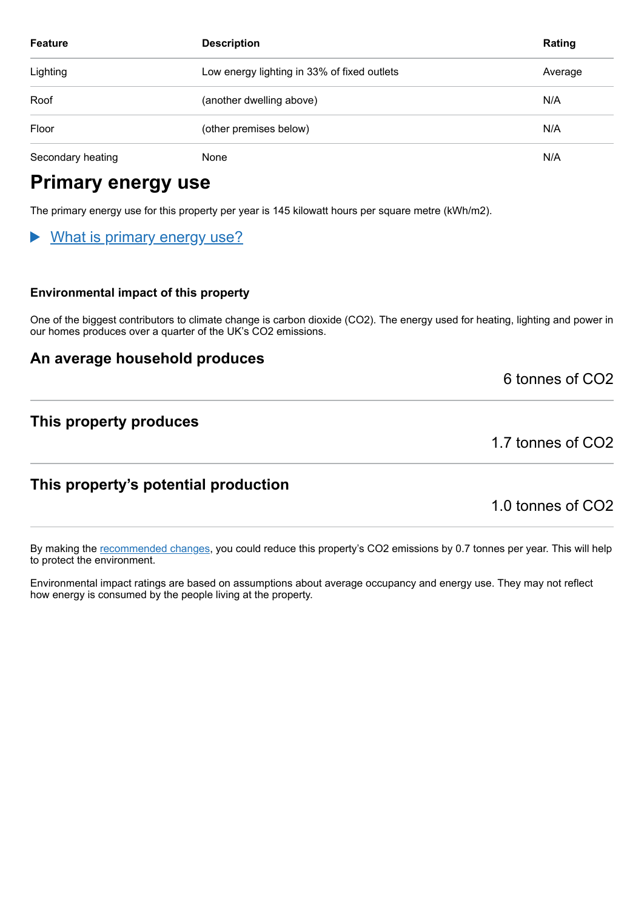| <b>Feature</b>    | <b>Description</b>                          | Rating  |
|-------------------|---------------------------------------------|---------|
| Lighting          | Low energy lighting in 33% of fixed outlets | Average |
| Roof              | (another dwelling above)                    | N/A     |
| Floor             | (other premises below)                      | N/A     |
| Secondary heating | None                                        | N/A     |

# **Primary energy use**

The primary energy use for this property per year is 145 kilowatt hours per square metre (kWh/m2).

### What is primary energy use?

#### **Environmental impact of this property**

One of the biggest contributors to climate change is carbon dioxide (CO2). The energy used for heating, lighting and power in our homes produces over a quarter of the UK's CO2 emissions.

#### **An average household produces**

6 tonnes of CO2

#### **This property produces**

1.7 tonnes of CO2

### **This property's potential production**

1.0 tonnes of CO2

By making the [recommended changes,](#page-3-0) you could reduce this property's CO2 emissions by 0.7 tonnes per year. This will help to protect the environment.

Environmental impact ratings are based on assumptions about average occupancy and energy use. They may not reflect how energy is consumed by the people living at the property.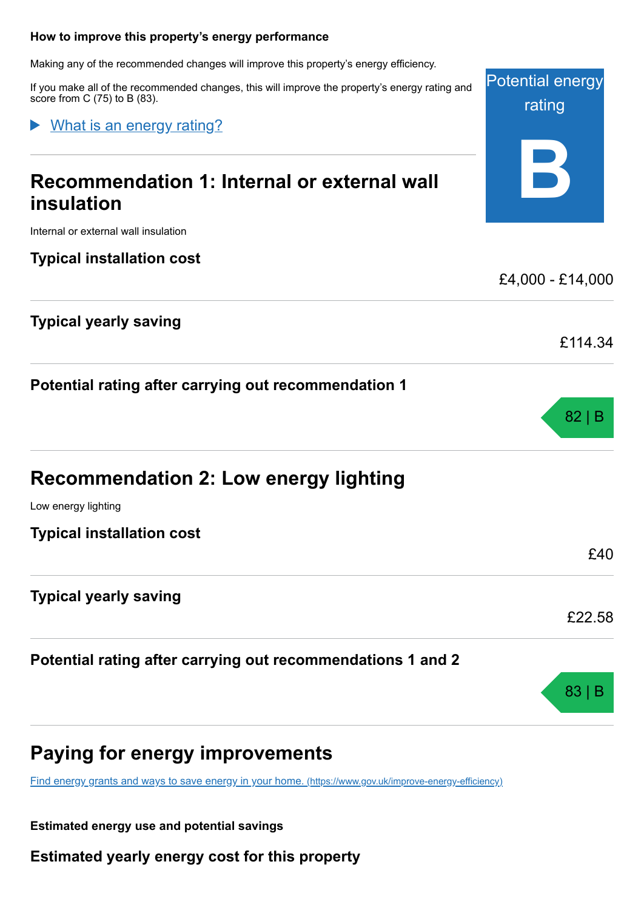#### <span id="page-3-0"></span>**How to improve this property's energy performance**

Making any of the recommended changes will improve this property's energy efficiency.

If you make all of the recommended changes, this will improve the property's energy rating and score from C (75) to B (83).

#### What is an energy rating?

# **Recommendation 1: Internal or external wall insulation**

Internal or external wall insulation

#### **Typical installation cost**

### **Typical yearly saving**

**Potential rating after carrying out recommendation 1**

# **Recommendation 2: Low energy lighting**

Low energy lighting

**Typical installation cost**

#### **Typical yearly saving**

**Potential rating after carrying out recommendations 1 and 2**

# **Paying for energy improvements**

[Find energy grants and ways to save energy in your home.](https://www.gov.uk/improve-energy-efficiency) (https://www.gov.uk/improve-energy-efficiency)

**Estimated energy use and potential savings**

**Estimated yearly energy cost for this property**

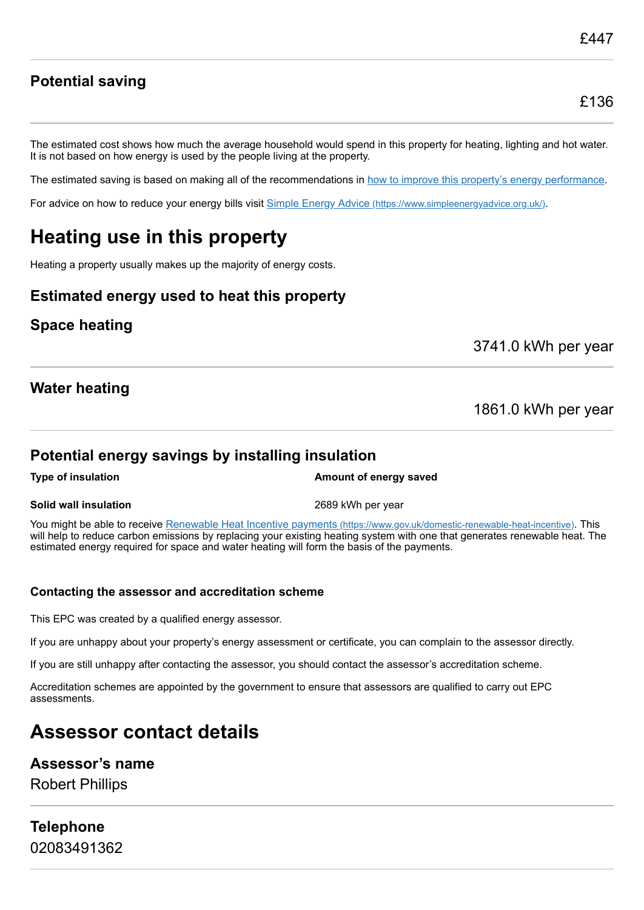### **Potential saving**

The estimated cost shows how much the average household would spend in this property for heating, lighting and hot water. It is not based on how energy is used by the people living at the property.

The estimated saving is based on making all of the recommendations in [how to improve this property's energy performance.](#page-3-0)

For advice on how to reduce your energy bills visit Simple Energy Advice [\(https://www.simpleenergyadvice.org.uk/\)](https://www.simpleenergyadvice.org.uk/).

# **Heating use in this property**

Heating a property usually makes up the majority of energy costs.

#### **Estimated energy used to heat this property**

### **Space heating**

3741.0 kWh per year

### **Water heating**

1861.0 kWh per year

#### **Potential energy savings by installing insulation**

**Type of insulation Amount of energy saved Amount of energy saved** 

#### **Solid wall insulation** 2689 kWh per year

You might be able to receive Renewable Heat Incentive payments [\(https://www.gov.uk/domestic-renewable-heat-incentive\)](https://www.gov.uk/domestic-renewable-heat-incentive). This will help to reduce carbon emissions by replacing your existing heating system with one that generates renewable heat. The estimated energy required for space and water heating will form the basis of the payments.

#### **Contacting the assessor and accreditation scheme**

This EPC was created by a qualified energy assessor.

If you are unhappy about your property's energy assessment or certificate, you can complain to the assessor directly.

If you are still unhappy after contacting the assessor, you should contact the assessor's accreditation scheme.

Accreditation schemes are appointed by the government to ensure that assessors are qualified to carry out EPC assessments.

# **Assessor contact details**

#### **Assessor's name**

Robert Phillips

### **Telephone** 02083491362